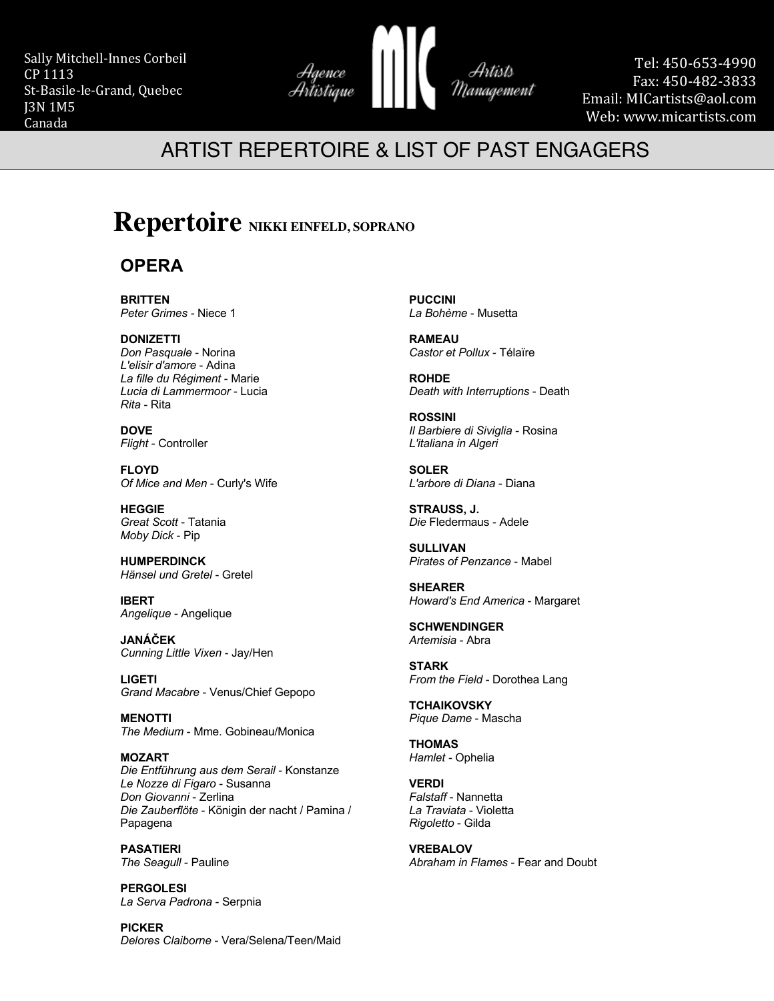Sally Mitchell-Innes Corbeil CP 1113 St-Basile-le-Grand, Quebec J3N 1M5 Canada



Tel: 450-653-4990 Fax: 450-482-3833 Email: MICartists@aol.com Web: www.micartists.com

## ARTIST REPERTOIRE & LIST OF PAST ENGAGERS

# **Repertoire NIKKI EINFELD, SOPRANO**

### **OPERA**

**BRITTEN** *Peter Grimes -* Niece 1

**DONIZETTI** *Don Pasquale* - Norina *L'elisir d'amore* - Adina *La fille du Régiment* - Marie *Lucia di Lammermoor* - Lucia *Rita* - Rita

**DOVE** *Flight* - Controller

**FLOYD** *Of Mice and Men* - Curly's Wife

**HEGGIE** *Great Scott* - Tatania *Moby Dick* - Pip

**HUMPERDINCK** *Hänsel und Gretel* - Gretel

**IBERT** *Angelique* - Angelique

**JANÁČEK** *Cunning Little Vixen* - Jay/Hen

**LIGETI** *Grand Macabre* - Venus/Chief Gepopo

**MENOTTI** *The Medium* - Mme. Gobineau/Monica

**MOZART** *Die Entführung aus dem Serail* - Konstanze *Le Nozze di Figaro* - Susanna *Don Giovanni* - Zerlina *Die Zauberflöte* - Königin der nacht / Pamina / Papagena

**PASATIERI** *The Seagull* - Pauline

**PERGOLESI** *La Serva Padrona* - Serpnia

**PICKER** *Delores Claiborne* - Vera/Selena/Teen/Maid

**PUCCINI** *La Bohème* - Musetta

**RAMEAU** *Castor et Pollux* - Télaïre

**ROHDE** *Death with Interruptions* - Death

**ROSSINI** *Il Barbiere di Siviglia* - Rosina *L'italiana in Algeri*

**SOLER** *L'arbore di Diana* - Diana

**STRAUSS, J.** *Die* Fledermaus - Adele

**SULLIVAN** *Pirates of Penzance* - Mabel

**SHEARER** *Howard's End America* - Margaret

**SCHWENDINGER** *Artemisia* - Abra

**STARK** *From the Field* - Dorothea Lang

**TCHAIKOVSKY** *Pique Dame* - Mascha

**THOMAS** *Hamlet -* Ophelia

**VERDI** *Falstaff* - Nannetta *La Traviata* - Violetta *Rigoletto* - Gilda

**VREBALOV** *Abraham in Flames* - Fear and Doubt